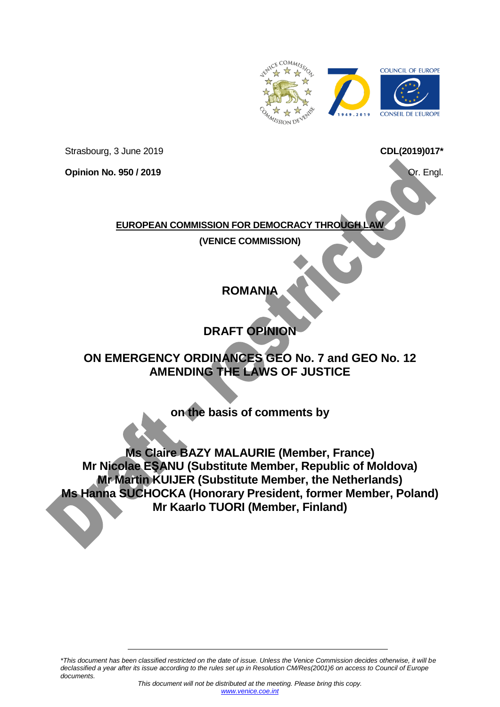

Strasbourg, 3 June 2019

**Opinion No. 950 / 2019**

<span id="page-0-0"></span>**CDL(2019)017\*** 

Or. Engl.

#### **EUROPEAN COMMISSION FOR DEMOCRACY THROUGH**

**(VENICE COMMISSION)**

# **ROMANIA**

# **DRAFT OPINION**

# **ON EMERGENCY ORDINANCES GEO No. 7 and GEO No. 12 AMENDING THE LAWS OF JUSTICE**

**on the basis of comments by**

**Ms Claire BAZY MALAURIE (Member, France) Mr Nicolae EŞANU (Substitute Member, Republic of Moldova) Mr Martin KUIJER (Substitute Member, the Netherlands) Ms Hanna SUCHOCKA (Honorary President, former Member, Poland) Mr Kaarlo TUORI (Member, Finland)**

*\*This document has been classified restricted on the date of issue. Unless the Venice Commission decides otherwise, it will be declassified a year after its issue according to the rules set up in Resolution CM/Res(2001)6 on access to Council of Europe documents.*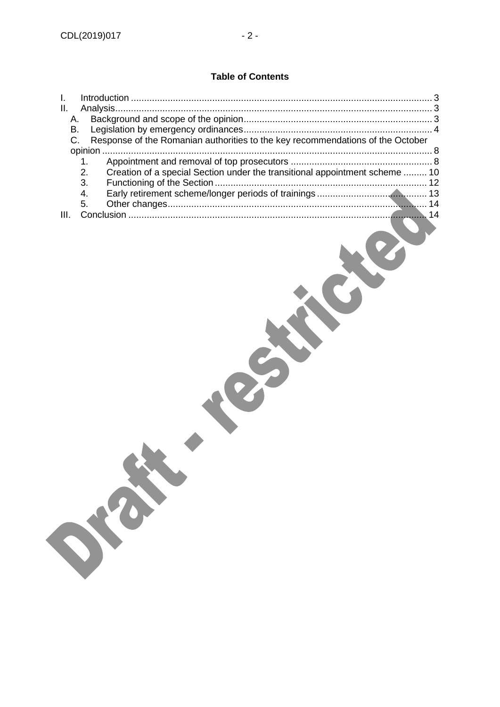# **Table of Contents**

| L. |               |                                                                                |  |
|----|---------------|--------------------------------------------------------------------------------|--|
| Ш. |               |                                                                                |  |
| А. |               |                                                                                |  |
| В. |               |                                                                                |  |
|    |               | Response of the Romanian authorities to the key recommendations of the October |  |
|    |               |                                                                                |  |
|    | $\mathbf 1$ . |                                                                                |  |
|    | 2.            | Creation of a special Section under the transitional appointment scheme  10    |  |
|    | 3.            |                                                                                |  |
|    | 4.            |                                                                                |  |
|    | 5             |                                                                                |  |
|    |               |                                                                                |  |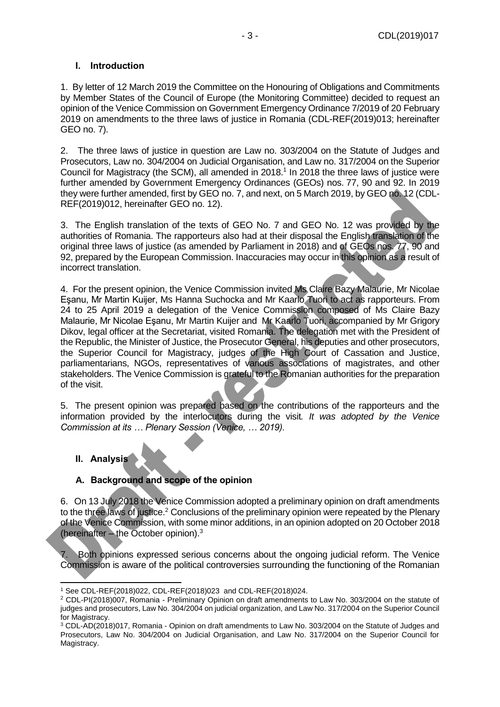#### <span id="page-2-0"></span>**I. Introduction**

1. By letter of 12 March 2019 the Committee on the Honouring of Obligations and Commitments by Member States of the Council of Europe (the Monitoring Committee) decided to request an opinion of the Venice Commission on Government Emergency Ordinance 7/2019 of 20 February 2019 on amendments to the three laws of justice in Romania (CDL-REF(2019)013; hereinafter GEO no. 7).

2. The three laws of justice in question are Law no. 303/2004 on the Statute of Judges and Prosecutors, Law no. 304/2004 on Judicial Organisation, and Law no. 317/2004 on the Superior Council for Magistracy (the SCM), all amended in 2018.<sup>1</sup> In 2018 the three laws of justice were further amended by Government Emergency Ordinances (GEOs) nos. 77, 90 and 92. In 2019 they were further amended, first by GEO no. 7, and next, on 5 March 2019, by GEO no. 12 (CDL-REF(2019)012, hereinafter GEO no. 12).

3. The English translation of the texts of GEO No. 7 and GEO No. 12 was provided by the authorities of Romania. The rapporteurs also had at their disposal the English translation of the original three laws of justice (as amended by Parliament in 2018) and of GEOs nos. 77, 90 and 92, prepared by the European Commission. Inaccuracies may occur in this opinion as a result of incorrect translation.

4. For the present opinion, the Venice Commission invited Ms Claire Bazy Malaurie, Mr Nicolae Eşanu, Mr Martin Kuijer, Ms Hanna Suchocka and Mr Kaarlo Tuori to act as rapporteurs. From 24 to 25 April 2019 a delegation of the Venice Commission composed of Ms Claire Bazy Malaurie, Mr Nicolae Eşanu, Mr Martin Kuijer and Mr Kaarlo Tuori, accompanied by Mr Grigory Dikov, legal officer at the Secretariat, visited Romania. The delegation met with the President of the Republic, the Minister of Justice, the Prosecutor General, his deputies and other prosecutors, the Superior Council for Magistracy, judges of the High Court of Cassation and Justice, parliamentarians, NGOs, representatives of various associations of magistrates, and other stakeholders. The Venice Commission is grateful to the Romanian authorities for the preparation of the visit.

5. The present opinion was prepared based on the contributions of the rapporteurs and the information provided by the interlocutors during the visit*. It was adopted by the Venice Commission at its … Plenary Session (Venice, … 2019).*

# <span id="page-2-1"></span>**II. Analysis**

-

# <span id="page-2-2"></span>**A. Background and scope of the opinion**

6. On 13 July 2018 the Venice Commission adopted a preliminary opinion on draft amendments to the three laws of justice.<sup>2</sup> Conclusions of the preliminary opinion were repeated by the Plenary of the Venice Commission, with some minor additions, in an opinion adopted on 20 October 2018 (hereinafter – the October opinion). 3

7. Both opinions expressed serious concerns about the ongoing judicial reform. The Venice Commission is aware of the political controversies surrounding the functioning of the Romanian

<sup>1</sup> See CDL-REF(2018)022, CDL-REF(2018)023 and CDL-REF(2018)024.

<sup>2</sup> CDL-PI(2018)007, Romania - Preliminary Opinion on draft amendments to Law No. 303/2004 on the statute of judges and prosecutors, Law No. 304/2004 on judicial organization, and Law No. 317/2004 on the Superior Council for Magistracy.

<sup>3</sup> CDL-AD(2018)017, Romania - Opinion on draft amendments to Law No. 303/2004 on the Statute of Judges and Prosecutors, Law No. 304/2004 on Judicial Organisation, and Law No. 317/2004 on the Superior Council for Magistracy.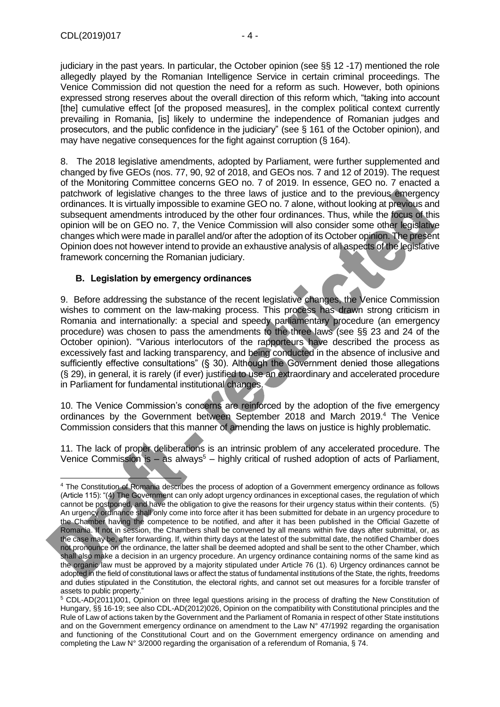judiciary in the past years. In particular, the October opinion (see §§ 12 -17) mentioned the role allegedly played by the Romanian Intelligence Service in certain criminal proceedings. The Venice Commission did not question the need for a reform as such. However, both opinions expressed strong reserves about the overall direction of this reform which, "taking into account [the] cumulative effect [of the proposed measures], in the complex political context currently prevailing in Romania, [is] likely to undermine the independence of Romanian judges and prosecutors, and the public confidence in the judiciary" (see § 161 of the October opinion), and may have negative consequences for the fight against corruption (§ 164).

8. The 2018 legislative amendments, adopted by Parliament, were further supplemented and changed by five GEOs (nos. 77, 90, 92 of 2018, and GEOs nos. 7 and 12 of 2019). The request of the Monitoring Committee concerns GEO no. 7 of 2019. In essence, GEO no. 7 enacted a patchwork of legislative changes to the three laws of justice and to the previous emergency ordinances. It is virtually impossible to examine GEO no. 7 alone, without looking at previous and subsequent amendments introduced by the other four ordinances. Thus, while the focus of this opinion will be on GEO no. 7, the Venice Commission will also consider some other legislative changes which were made in parallel and/or after the adoption of its October opinion. The present Opinion does not however intend to provide an exhaustive analysis of all aspects of the legislative framework concerning the Romanian judiciary.

#### <span id="page-3-0"></span>**B. Legislation by emergency ordinances**

9. Before addressing the substance of the recent legislative changes, the Venice Commission wishes to comment on the law-making process. This process has drawn strong criticism in Romania and internationally: a special and speedy parliamentary procedure (an emergency procedure) was chosen to pass the amendments to the three laws (see §§ 23 and 24 of the October opinion). "Various interlocutors of the rapporteurs have described the process as excessively fast and lacking transparency, and being conducted in the absence of inclusive and sufficiently effective consultations" (§ 30). Although the Government denied those allegations (§ 29), in general, it is rarely (if ever) justified to use an extraordinary and accelerated procedure in Parliament for fundamental institutional changes.

10. The Venice Commission's concerns are reinforced by the adoption of the five emergency ordinances by the Government between September 2018 and March 2019. <sup>4</sup> The Venice Commission considers that this manner of amending the laws on justice is highly problematic.

11. The lack of proper deliberations is an intrinsic problem of any accelerated procedure. The Venice Commission is  $-$  as always<sup>5</sup> – highly critical of rushed adoption of acts of Parliament,

<sup>-</sup><sup>4</sup> The Constitution of Romania describes the process of adoption of a Government emergency ordinance as follows (Article 115): "(4) The Government can only adopt urgency ordinances in exceptional cases, the regulation of which cannot be postponed, and have the obligation to give the reasons for their urgency status within their contents. (5) An urgency ordinance shall only come into force after it has been submitted for debate in an urgency procedure to the Chamber having the competence to be notified, and after it has been published in the Official Gazette of Romania. If not in session, the Chambers shall be convened by all means within five days after submittal, or, as the case may be, after forwarding. If, within thirty days at the latest of the submittal date, the notified Chamber does not pronounce on the ordinance, the latter shall be deemed adopted and shall be sent to the other Chamber, which shall also make a decision in an urgency procedure. An urgency ordinance containing norms of the same kind as the organic law must be approved by a majority stipulated under Article 76 (1). 6) Urgency ordinances cannot be adopted in the field of constitutional laws or affect the status of fundamental institutions of the State, the rights, freedoms and duties stipulated in the Constitution, the electoral rights, and cannot set out measures for a forcible transfer of assets to public property."

<sup>5</sup> CDL-AD(2011)001, Opinion on three legal questions arising in the process of drafting the New Constitution of Hungary, §§ 16-19; see also CDL-AD(2012)026, Opinion on the compatibility with Constitutional principles and the Rule of Law of actions taken by the Government and the Parliament of Romania in respect of other State institutions and on the Government emergency ordinance on amendment to the Law N° 47/1992 regarding the organisation and functioning of the Constitutional Court and on the Government emergency ordinance on amending and completing the Law N° 3/2000 regarding the organisation of a referendum of Romania, § 74.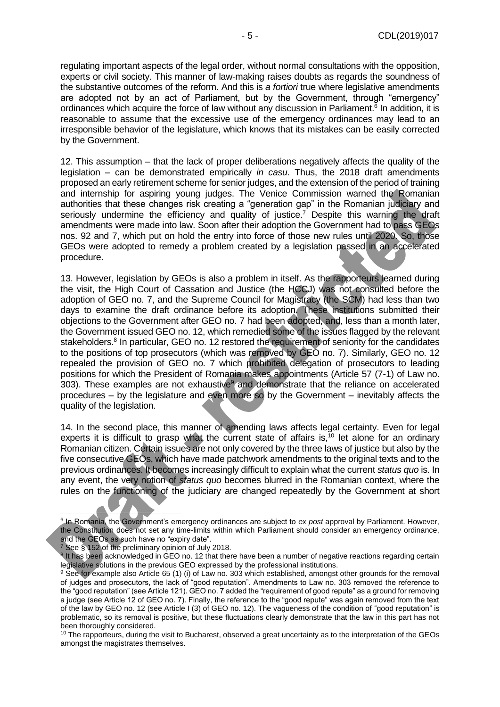regulating important aspects of the legal order, without normal consultations with the opposition, experts or civil society. This manner of law-making raises doubts as regards the soundness of the substantive outcomes of the reform. And this is *a fortiori* true where legislative amendments are adopted not by an act of Parliament, but by the Government, through "emergency" ordinances which acquire the force of law without any discussion in Parliament.<sup>6</sup> In addition, it is reasonable to assume that the excessive use of the emergency ordinances may lead to an irresponsible behavior of the legislature, which knows that its mistakes can be easily corrected by the Government.

12. This assumption – that the lack of proper deliberations negatively affects the quality of the legislation – can be demonstrated empirically *in casu*. Thus, the 2018 draft amendments proposed an early retirement scheme for senior judges, and the extension of the period of training and internship for aspiring young judges. The Venice Commission warned the Romanian authorities that these changes risk creating a "generation gap" in the Romanian judiciary and seriously undermine the efficiency and quality of justice.<sup>7</sup> Despite this warning the draft amendments were made into law. Soon after their adoption the Government had to pass GEOs nos. 92 and 7, which put on hold the entry into force of those new rules until 2020. So, those GEOs were adopted to remedy a problem created by a legislation passed in an accelerated procedure.

13. However, legislation by GEOs is also a problem in itself. As the rapporteurs learned during the visit, the High Court of Cassation and Justice (the HCCJ) was not consulted before the adoption of GEO no. 7, and the Supreme Council for Magistracy (the SCM) had less than two days to examine the draft ordinance before its adoption. These institutions submitted their objections to the Government after GEO no. 7 had been adopted, and, less than a month later, the Government issued GEO no. 12, which remedied some of the issues flagged by the relevant stakeholders.<sup>8</sup> In particular, GEO no. 12 restored the requirement of seniority for the candidates to the positions of top prosecutors (which was removed by GEO no. 7). Similarly, GEO no. 12 repealed the provision of GEO no. 7 which prohibited delegation of prosecutors to leading positions for which the President of Romania makes appointments (Article 57 (7-1) of Law no. 303). These examples are not exhaustive<sup>9</sup> and demonstrate that the reliance on accelerated procedures – by the legislature and even more so by the Government – inevitably affects the quality of the legislation.

14. In the second place, this manner of amending laws affects legal certainty. Even for legal experts it is difficult to grasp what the current state of affairs is,  $10$  let alone for an ordinary Romanian citizen. Certain issues are not only covered by the three laws of justice but also by the five consecutive GEOs, which have made patchwork amendments to the original texts and to the previous ordinances. It becomes increasingly difficult to explain what the current *status quo* is. In any event, the very notion of *status quo* becomes blurred in the Romanian context, where the rules on the functioning of the judiciary are changed repeatedly by the Government at short

<sup>7</sup> See § 152 of the preliminary opinion of July 2018.

<sup>6</sup> In Romania, the Government's emergency ordinances are subject to *ex post* approval by Parliament. However, the Constitution does not set any time-limits within which Parliament should consider an emergency ordinance, and the GEOs as such have no "expiry date".

<sup>&</sup>lt;sup>8</sup> It has been acknowledged in GEO no. 12 that there have been a number of negative reactions regarding certain legislative solutions in the previous GEO expressed by the professional institutions.

<sup>&</sup>lt;sup>9</sup> See for example also Article 65 (1) (i) of Law no. 303 which established, amongst other grounds for the removal of judges and prosecutors, the lack of "good reputation". Amendments to Law no. 303 removed the reference to the "good reputation" (see Article 121). GEO no. 7 added the "requirement of good repute" as a ground for removing a judge (see Article 12 of GEO no. 7). Finally, the reference to the "good repute" was again removed from the text of the law by GEO no. 12 (see Article I (3) of GEO no. 12). The vagueness of the condition of "good reputation" is problematic, so its removal is positive, but these fluctuations clearly demonstrate that the law in this part has not been thoroughly considered.

 $10$  The rapporteurs, during the visit to Bucharest, observed a great uncertainty as to the interpretation of the GEOs amongst the magistrates themselves.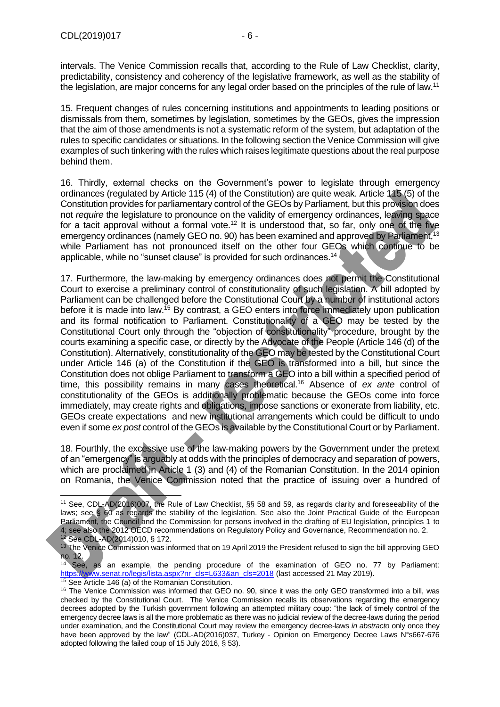intervals. The Venice Commission recalls that, according to the Rule of Law Checklist, clarity, predictability, consistency and coherency of the legislative framework, as well as the stability of the legislation, are major concerns for any legal order based on the principles of the rule of law.<sup>11</sup>

15. Frequent changes of rules concerning institutions and appointments to leading positions or dismissals from them, sometimes by legislation, sometimes by the GEOs, gives the impression that the aim of those amendments is not a systematic reform of the system, but adaptation of the rules to specific candidates or situations. In the following section the Venice Commission will give examples of such tinkering with the rules which raises legitimate questions about the real purpose behind them.

16. Thirdly, external checks on the Government's power to legislate through emergency ordinances (regulated by Article 115 (4) of the Constitution) are quite weak. Article 115 (5) of the Constitution provides for parliamentary control of the GEOs by Parliament, but this provision does not *require* the legislature to pronounce on the validity of emergency ordinances, leaving space for a tacit approval without a formal vote.<sup>12</sup> It is understood that, so far, only one of the five emergency ordinances (namely GEO no. 90) has been examined and approved by Parliament,<sup>13</sup> while Parliament has not pronounced itself on the other four GEOs which continue to be applicable, while no "sunset clause" is provided for such ordinances.<sup>14</sup>

17. Furthermore, the law-making by emergency ordinances does not permit the Constitutional Court to exercise a preliminary control of constitutionality of such legislation. A bill adopted by Parliament can be challenged before the Constitutional Court by a number of institutional actors before it is made into law.<sup>15</sup> By contrast, a GEO enters into force immediately upon publication and its formal notification to Parliament. Constitutionality of a GEO may be tested by the Constitutional Court only through the "objection of constitutionality" procedure, brought by the courts examining a specific case, or directly by the Advocate of the People (Article 146 (d) of the Constitution). Alternatively, constitutionality of the GEO may be tested by the Constitutional Court under Article 146 (a) of the Constitution if the GEO is transformed into a bill, but since the Constitution does not oblige Parliament to transform a GEO into a bill within a specified period of time, this possibility remains in many cases theoretical.<sup>16</sup> Absence of *ex ante* control of constitutionality of the GEOs is additionally problematic because the GEOs come into force immediately, may create rights and obligations, impose sanctions or exonerate from liability, etc. GEOs create expectations and new institutional arrangements which could be difficult to undo even if some *ex post* control of the GEOs is available by the Constitutional Court or by Parliament.

18. Fourthly, the excessive use of the law-making powers by the Government under the pretext of an "emergency" is arguably at odds with the principles of democracy and separation of powers, which are proclaimed in Article 1 (3) and (4) of the Romanian Constitution. In the 2014 opinion on Romania, the Venice Commission noted that the practice of issuing over a hundred of

<sup>-</sup><sup>11</sup> See, CDL-AD(2016)007, the Rule of Law Checklist, §§ 58 and 59, as regards clarity and foreseeability of the laws; see § 60 as regards the stability of the legislation. See also the Joint Practical Guide of the European Parliament, the Council and the Commission for persons involved in the drafting of EU legislation, principles 1 to 4; see also the 2012 OECD recommendations on Regulatory Policy and Governance, Recommendation no. 2. <sup>12</sup> See CDL-AD(2014)010, § 172.

<sup>&</sup>lt;sup>13</sup> The Venice Commission was informed that on 19 April 2019 the President refused to sign the bill approving GEO no. 12.

See, as an example, the pending procedure of the examination of GEO no. 77 by Parliament: [https://www.senat.ro/legis/lista.aspx?nr\\_cls=L633&an\\_cls=2018](https://www.senat.ro/legis/lista.aspx?nr_cls=L633&an_cls=2018) (last accessed 21 May 2019). <sup>15</sup> See Article 146 (a) of the Romanian Constitution.

<sup>&</sup>lt;sup>16</sup> The Venice Commission was informed that GEO no. 90, since it was the only GEO transformed into a bill, was checked by the Constitutional Court. The Venice Commission recalls its observations regarding the emergency decrees adopted by the Turkish government following an attempted military coup: "the lack of timely control of the emergency decree laws is all the more problematic as there was no judicial review of the decree-laws during the period under examination, and the Constitutional Court may review the emergency decree-laws *in abstracto* only once they have been approved by the law" (CDL-AD(2016)037, Turkey - Opinion on Emergency Decree Laws N°s667-676 adopted following the failed coup of 15 July 2016, § 53).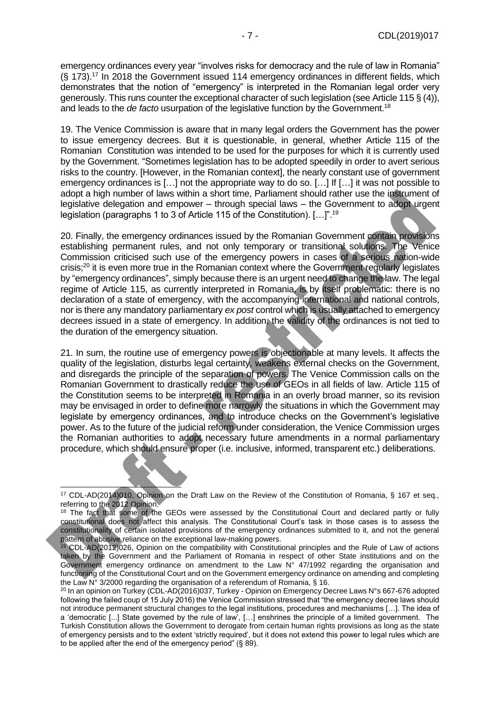emergency ordinances every year "involves risks for democracy and the rule of law in Romania" (§ 173). <sup>17</sup> In 2018 the Government issued 114 emergency ordinances in different fields, which demonstrates that the notion of "emergency" is interpreted in the Romanian legal order very generously. This runs counter the exceptional character of such legislation (see Article 115 § (4)), and leads to the *de facto* usurpation of the legislative function by the Government.<sup>18</sup>

19. The Venice Commission is aware that in many legal orders the Government has the power to issue emergency decrees. But it is questionable, in general, whether Article 115 of the Romanian Constitution was intended to be used for the purposes for which it is currently used by the Government. "Sometimes legislation has to be adopted speedily in order to avert serious risks to the country. [However, in the Romanian context], the nearly constant use of government emergency ordinances is […] not the appropriate way to do so. […] If […] it was not possible to adopt a high number of laws within a short time, Parliament should rather use the instrument of legislative delegation and empower – through special laws – the Government to adopt urgent legislation (paragraphs 1 to 3 of Article 115 of the Constitution). […]".<sup>19</sup>

20. Finally, the emergency ordinances issued by the Romanian Government contain provisions establishing permanent rules, and not only temporary or transitional solutions. The Venice Commission criticised such use of the emergency powers in cases of a serious nation-wide crisis;<sup>20</sup> it is even more true in the Romanian context where the Government regularly legislates by "emergency ordinances", simply because there is an urgent need to change the law. The legal regime of Article 115, as currently interpreted in Romania, is by itself problematic: there is no declaration of a state of emergency, with the accompanying international and national controls, nor is there any mandatory parliamentary *ex post* control which is usually attached to emergency decrees issued in a state of emergency. In addition, the validity of the ordinances is not tied to the duration of the emergency situation.

21. In sum, the routine use of emergency powers is objectionable at many levels. It affects the quality of the legislation, disturbs legal certainty, weakens external checks on the Government, and disregards the principle of the separation of powers. The Venice Commission calls on the Romanian Government to drastically reduce the use of GEOs in all fields of law. Article 115 of the Constitution seems to be interpreted in Romania in an overly broad manner, so its revision may be envisaged in order to define more narrowly the situations in which the Government may legislate by emergency ordinances, and to introduce checks on the Government's legislative power. As to the future of the judicial reform under consideration, the Venice Commission urges the Romanian authorities to adopt necessary future amendments in a normal parliamentary procedure, which should ensure proper (i.e. inclusive, informed, transparent etc.) deliberations.

<sup>17</sup> CDL-AD(2014)010, Opinion on the Draft Law on the Review of the Constitution of Romania, § 167 et seq., referring to the 2012 Opinion.

<sup>&</sup>lt;sup>18</sup> The fact that some of the GEOs were assessed by the Constitutional Court and declared partly or fully constitutional does not affect this analysis. The Constitutional Court's task in those cases is to assess the constitutionality of certain isolated provisions of the emergency ordinances submitted to it, and not the general pattern of abusive reliance on the exceptional law-making powers.

<sup>19</sup> CDL-AD(2012)026, Opinion on the compatibility with Constitutional principles and the Rule of Law of actions taken by the Government and the Parliament of Romania in respect of other State institutions and on the Government emergency ordinance on amendment to the Law  $N^{\circ}$  47/1992 regarding the organisation and functioning of the Constitutional Court and on the Government emergency ordinance on amending and completing the Law  $N^{\circ}$  3/2000 regarding the organisation of a referendum of Romania, § 16.

<sup>&</sup>lt;sup>20</sup> In an opinion on Turkey (CDL-AD(2016)037, Turkey - Opinion on Emergency Decree Laws N°s 667-676 adopted following the failed coup of 15 July 2016) the Venice Commission stressed that "the emergency decree laws should not introduce permanent structural changes to the legal institutions, procedures and mechanisms […]. The idea of a 'democratic [...] State governed by the rule of law', […] enshrines the principle of a limited government. The Turkish Constitution allows the Government to derogate from certain human rights provisions as long as the state of emergency persists and to the extent 'strictly required', but it does not extend this power to legal rules which are to be applied after the end of the emergency period" (§ 89).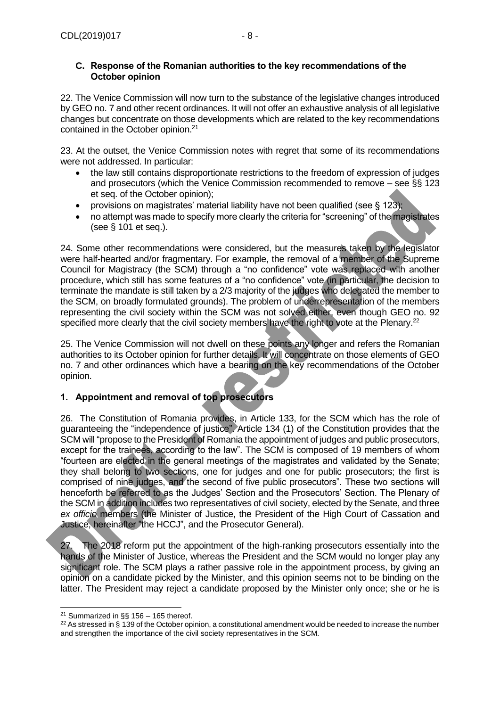#### <span id="page-7-0"></span>**C. Response of the Romanian authorities to the key recommendations of the October opinion**

22. The Venice Commission will now turn to the substance of the legislative changes introduced by GEO no. 7 and other recent ordinances. It will not offer an exhaustive analysis of all legislative changes but concentrate on those developments which are related to the key recommendations contained in the October opinion.<sup>21</sup>

23. At the outset, the Venice Commission notes with regret that some of its recommendations were not addressed. In particular:

- the law still contains disproportionate restrictions to the freedom of expression of judges and prosecutors (which the Venice Commission recommended to remove – see §§ 123 et seq. of the October opinion);
- provisions on magistrates' material liability have not been qualified (see  $\S 123$ );
- no attempt was made to specify more clearly the criteria for "screening" of the magistrates (see § 101 et seq.).

24. Some other recommendations were considered, but the measures taken by the legislator were half-hearted and/or fragmentary. For example, the removal of a member of the Supreme Council for Magistracy (the SCM) through a "no confidence" vote was replaced with another procedure, which still has some features of a "no confidence" vote (in particular, the decision to terminate the mandate is still taken by a 2/3 majority of the judges who delegated the member to the SCM, on broadly formulated grounds). The problem of underrepresentation of the members representing the civil society within the SCM was not solved either, even though GEO no. 92 specified more clearly that the civil society members have the right to vote at the Plenary.<sup>22</sup>

25. The Venice Commission will not dwell on these points any longer and refers the Romanian authorities to its October opinion for further details. It will concentrate on those elements of GEO no. 7 and other ordinances which have a bearing on the key recommendations of the October opinion.

# <span id="page-7-1"></span>**1. Appointment and removal of top prosecutors**

26. The Constitution of Romania provides, in Article 133, for the SCM which has the role of guaranteeing the "independence of justice". Article 134 (1) of the Constitution provides that the SCM will "propose to the President of Romania the appointment of judges and public prosecutors, except for the trainees, according to the law". The SCM is composed of 19 members of whom "fourteen are elected in the general meetings of the magistrates and validated by the Senate; they shall belong to two sections, one for judges and one for public prosecutors; the first is comprised of nine judges, and the second of five public prosecutors". These two sections will henceforth be referred to as the Judges' Section and the Prosecutors' Section. The Plenary of the SCM in addition includes two representatives of civil society, elected by the Senate, and three *ex officio* members (the Minister of Justice, the President of the High Court of Cassation and Justice, hereinafter "the HCCJ", and the Prosecutor General).

27. The 2018 reform put the appointment of the high-ranking prosecutors essentially into the hands of the Minister of Justice, whereas the President and the SCM would no longer play any significant role. The SCM plays a rather passive role in the appointment process, by giving an opinion on a candidate picked by the Minister, and this opinion seems not to be binding on the latter. The President may reject a candidate proposed by the Minister only once; she or he is

<sup>-</sup><sup>21</sup> Summarized in §§ 156 – 165 thereof.

 $22$  As stressed in § 139 of the October opinion, a constitutional amendment would be needed to increase the number and strengthen the importance of the civil society representatives in the SCM.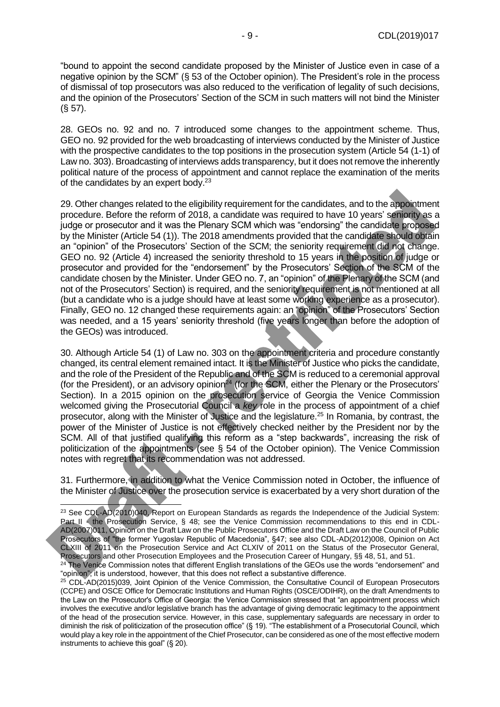"bound to appoint the second candidate proposed by the Minister of Justice even in case of a negative opinion by the SCM" (§ 53 of the October opinion). The President's role in the process of dismissal of top prosecutors was also reduced to the verification of legality of such decisions, and the opinion of the Prosecutors' Section of the SCM in such matters will not bind the Minister (§ 57).

28. GEOs no. 92 and no. 7 introduced some changes to the appointment scheme. Thus, GEO no. 92 provided for the web broadcasting of interviews conducted by the Minister of Justice with the prospective candidates to the top positions in the prosecution system (Article 54 (1-1) of Law no. 303). Broadcasting of interviews adds transparency, but it does not remove the inherently political nature of the process of appointment and cannot replace the examination of the merits of the candidates by an expert body.<sup>23</sup>

29. Other changes related to the eligibility requirement for the candidates, and to the appointment procedure. Before the reform of 2018, a candidate was required to have 10 years' seniority as a judge or prosecutor and it was the Plenary SCM which was "endorsing" the candidate proposed by the Minister (Article 54 (1)). The 2018 amendments provided that the candidate should obtain an "opinion" of the Prosecutors' Section of the SCM; the seniority requirement did not change. GEO no. 92 (Article 4) increased the seniority threshold to 15 years in the position of judge or prosecutor and provided for the "endorsement" by the Prosecutors' Section of the SCM of the candidate chosen by the Minister. Under GEO no. 7, an "opinion" of the Plenary of the SCM (and not of the Prosecutors' Section) is required, and the seniority requirement is not mentioned at all (but a candidate who is a judge should have at least some working experience as a prosecutor). Finally, GEO no. 12 changed these requirements again: an "opinion" of the Prosecutors' Section was needed, and a 15 years' seniority threshold (five years longer than before the adoption of the GEOs) was introduced.

30. Although Article 54 (1) of Law no. 303 on the appointment criteria and procedure constantly changed, its central element remained intact. It is the Minister of Justice who picks the candidate, and the role of the President of the Republic and of the SCM is reduced to a ceremonial approval (for the President), or an advisory opinion $^{24}$  (for the SCM, either the Plenary or the Prosecutors' Section). In a 2015 opinion on the prosecution service of Georgia the Venice Commission welcomed giving the Prosecutorial Council a *key* role in the process of appointment of a chief prosecutor, along with the Minister of Justice and the legislature.<sup>25</sup> In Romania, by contrast, the power of the Minister of Justice is not effectively checked neither by the President nor by the SCM. All of that justified qualifying this reform as a "step backwards", increasing the risk of politicization of the appointments (see § 54 of the October opinion). The Venice Commission notes with regret that its recommendation was not addressed.

31. Furthermore, in addition to what the Venice Commission noted in October, the influence of the Minister of Justice over the prosecution service is exacerbated by a very short duration of the

<sup>&</sup>lt;sup>23</sup> See CDL-AD(2010)040, Report on European Standards as regards the Independence of the Judicial System: Part II - the Prosecution Service, § 48; see the Venice Commission recommendations to this end in CDL-AD(2007)011, Opinion on the Draft Law on the Public Prosecutors Office and the Draft Law on the Council of Public Prosecutors of "the former Yugoslav Republic of Macedonia", §47; see also CDL-AD(2012)008, Opinion on Act CLXIII of 2011 on the Prosecution Service and Act CLXIV of 2011 on the Status of the Prosecutor General, Prosecutors and other Prosecution Employees and the Prosecution Career of Hungary, §§ 48, 51, and 51.

<sup>&</sup>lt;sup>24</sup> The Venice Commission notes that different English translations of the GEOs use the words "endorsement" and "opinion", it is understood, however, that this does not reflect a substantive difference.

<sup>&</sup>lt;sup>25</sup> CDL-AD(2015)039, Joint Opinion of the Venice Commission, the Consultative Council of European Prosecutors (CCPE) and OSCE Office for Democratic Institutions and Human Rights (OSCE/ODIHR), on the draft Amendments to the Law on the Prosecutor's Office of Georgia: the Venice Commission stressed that "an appointment process which involves the executive and/or legislative branch has the advantage of giving democratic legitimacy to the appointment of the head of the prosecution service. However, in this case, supplementary safeguards are necessary in order to diminish the risk of politicization of the prosecution office" (§ 19). "The establishment of a Prosecutorial Council, which would play a key role in the appointment of the Chief Prosecutor, can be considered as one of the most effective modern instruments to achieve this goal" (§ 20).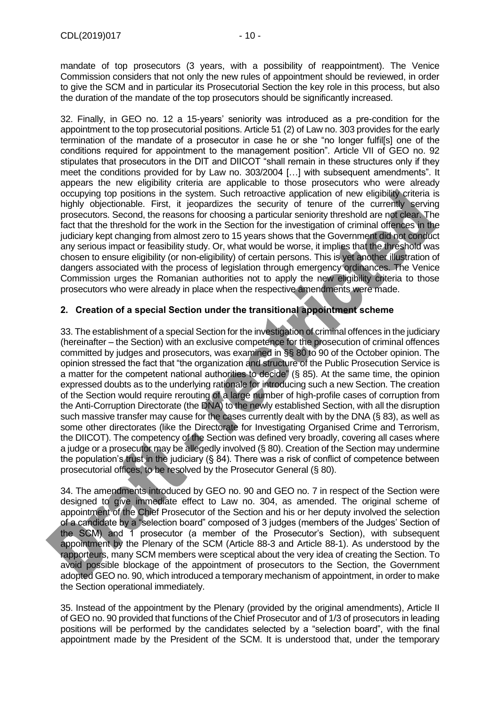mandate of top prosecutors (3 years, with a possibility of reappointment). The Venice Commission considers that not only the new rules of appointment should be reviewed, in order to give the SCM and in particular its Prosecutorial Section the key role in this process, but also the duration of the mandate of the top prosecutors should be significantly increased.

32. Finally, in GEO no. 12 a 15-years' seniority was introduced as a pre-condition for the appointment to the top prosecutorial positions. Article 51 (2) of Law no. 303 provides for the early termination of the mandate of a prosecutor in case he or she "no longer fulfil[s] one of the conditions required for appointment to the management position". Article VII of GEO no. 92 stipulates that prosecutors in the DIT and DIICOT "shall remain in these structures only if they meet the conditions provided for by Law no. 303/2004 […] with subsequent amendments". It appears the new eligibility criteria are applicable to those prosecutors who were already occupying top positions in the system. Such retroactive application of new eligibility criteria is highly objectionable. First, it jeopardizes the security of tenure of the currently serving prosecutors. Second, the reasons for choosing a particular seniority threshold are not clear. The fact that the threshold for the work in the Section for the investigation of criminal offences in the judiciary kept changing from almost zero to 15 years shows that the Government did not conduct any serious impact or feasibility study. Or, what would be worse, it implies that the threshold was chosen to ensure eligibility (or non-eligibility) of certain persons. This is yet another illustration of dangers associated with the process of legislation through emergency ordinances. The Venice Commission urges the Romanian authorities not to apply the new eligibility criteria to those prosecutors who were already in place when the respective amendments were made.

# <span id="page-9-0"></span>**2. Creation of a special Section under the transitional appointment scheme**

33. The establishment of a special Section for the investigation of criminal offences in the judiciary (hereinafter – the Section) with an exclusive competence for the prosecution of criminal offences committed by judges and prosecutors, was examined in §§ 80 to 90 of the October opinion. The opinion stressed the fact that "the organization and structure of the Public Prosecution Service is a matter for the competent national authorities to decide" (§ 85). At the same time, the opinion expressed doubts as to the underlying rationale for introducing such a new Section. The creation of the Section would require rerouting of a large number of high-profile cases of corruption from the Anti-Corruption Directorate (the DNA) to the newly established Section, with all the disruption such massive transfer may cause for the cases currently dealt with by the DNA (§ 83), as well as some other directorates (like the Directorate for Investigating Organised Crime and Terrorism, the DIICOT). The competency of the Section was defined very broadly, covering all cases where a judge or a prosecutor may be allegedly involved (§ 80). Creation of the Section may undermine the population's trust in the judiciary (§ 84). There was a risk of conflict of competence between prosecutorial offices, to be resolved by the Prosecutor General (§ 80).

34. The amendments introduced by GEO no. 90 and GEO no. 7 in respect of the Section were designed to give immediate effect to Law no. 304, as amended. The original scheme of appointment of the Chief Prosecutor of the Section and his or her deputy involved the selection of a candidate by a "selection board" composed of 3 judges (members of the Judges' Section of the SCM) and 1 prosecutor (a member of the Prosecutor's Section), with subsequent appointment by the Plenary of the SCM (Article 88-3 and Article 88-1). As understood by the rapporteurs, many SCM members were sceptical about the very idea of creating the Section. To avoid possible blockage of the appointment of prosecutors to the Section, the Government adopted GEO no. 90, which introduced a temporary mechanism of appointment, in order to make the Section operational immediately.

35. Instead of the appointment by the Plenary (provided by the original amendments), Article II of GEO no. 90 provided that functions of the Chief Prosecutor and of 1/3 of prosecutors in leading positions will be performed by the candidates selected by a "selection board", with the final appointment made by the President of the SCM. It is understood that, under the temporary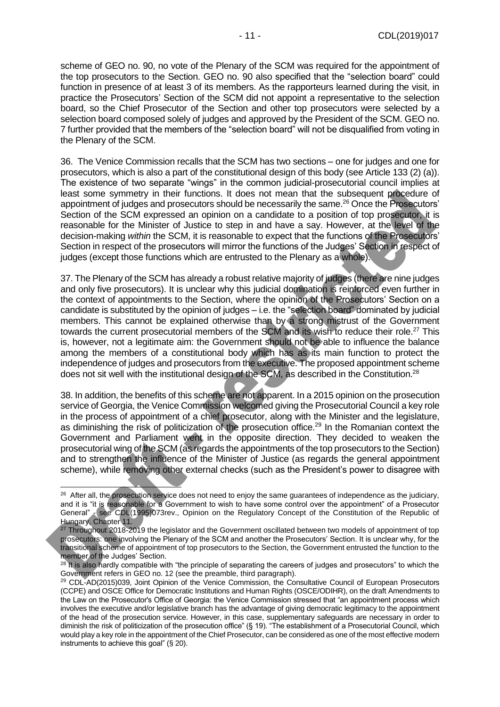scheme of GEO no. 90, no vote of the Plenary of the SCM was required for the appointment of the top prosecutors to the Section. GEO no. 90 also specified that the "selection board" could function in presence of at least 3 of its members. As the rapporteurs learned during the visit, in practice the Prosecutors' Section of the SCM did not appoint a representative to the selection board, so the Chief Prosecutor of the Section and other top prosecutors were selected by a selection board composed solely of judges and approved by the President of the SCM. GEO no. 7 further provided that the members of the "selection board" will not be disqualified from voting in the Plenary of the SCM.

36. The Venice Commission recalls that the SCM has two sections – one for judges and one for prosecutors, which is also a part of the constitutional design of this body (see Article 133 (2) (a)). The existence of two separate "wings" in the common judicial-prosecutorial council implies at least some symmetry in their functions. It does not mean that the subsequent procedure of appointment of judges and prosecutors should be necessarily the same. <sup>26</sup> Once the Prosecutors' Section of the SCM expressed an opinion on a candidate to a position of top prosecutor, it is reasonable for the Minister of Justice to step in and have a say. However, at the level of the decision-making *within* the SCM, it is reasonable to expect that the functions of the Prosecutors' Section in respect of the prosecutors will mirror the functions of the Judges' Section in respect of judges (except those functions which are entrusted to the Plenary as a whole).

37. The Plenary of the SCM has already a robust relative majority of judges (there are nine judges and only five prosecutors). It is unclear why this judicial domination is reinforced even further in the context of appointments to the Section, where the opinion of the Prosecutors' Section on a candidate is substituted by the opinion of judges – i.e. the "selection board" dominated by judicial members. This cannot be explained otherwise than by a strong mistrust of the Government towards the current prosecutorial members of the SCM and its wish to reduce their role.<sup>27</sup> This is, however, not a legitimate aim: the Government should not be able to influence the balance among the members of a constitutional body which has as its main function to protect the independence of judges and prosecutors from the executive. The proposed appointment scheme does not sit well with the institutional design of the SCM, as described in the Constitution.<sup>28</sup>

38. In addition, the benefits of this scheme are not apparent. In a 2015 opinion on the prosecution service of Georgia, the Venice Commission welcomed giving the Prosecutorial Council a key role in the process of appointment of a chief prosecutor, along with the Minister and the legislature, as diminishing the risk of politicization of the prosecution office.<sup>29</sup> In the Romanian context the Government and Parliament went in the opposite direction. They decided to weaken the prosecutorial wing of the SCM (as regards the appointments of the top prosecutors to the Section) and to strengthen the influence of the Minister of Justice (as regards the general appointment scheme), while removing other external checks (such as the President's power to disagree with

 $26$  After all, the prosecution service does not need to enjoy the same guarantees of independence as the judiciary, and it is "it is reasonable for a Government to wish to have some control over the appointment" of a Prosecutor General" - see CDL(1995)073rev., Opinion on the Regulatory Concept of the Constitution of the Republic of Hungary, Chapter 11.

<sup>&</sup>lt;sup>27</sup> Throughout 2018-2019 the legislator and the Government oscillated between two models of appointment of top prosecutors: one involving the Plenary of the SCM and another the Prosecutors' Section. It is unclear why, for the transitional scheme of appointment of top prosecutors to the Section, the Government entrusted the function to the member of the Judges' Section.

 $28$  It is also hardly compatible with "the principle of separating the careers of judges and prosecutors" to which the Government refers in GEO no. 12 (see the preamble, third paragraph).

<sup>29</sup> CDL-AD(2015)039, Joint Opinion of the Venice Commission, the Consultative Council of European Prosecutors (CCPE) and OSCE Office for Democratic Institutions and Human Rights (OSCE/ODIHR), on the draft Amendments to the Law on the Prosecutor's Office of Georgia: the Venice Commission stressed that "an appointment process which involves the executive and/or legislative branch has the advantage of giving democratic legitimacy to the appointment of the head of the prosecution service. However, in this case, supplementary safeguards are necessary in order to diminish the risk of politicization of the prosecution office" (§ 19). "The establishment of a Prosecutorial Council, which would play a key role in the appointment of the Chief Prosecutor, can be considered as one of the most effective modern instruments to achieve this goal" (§ 20).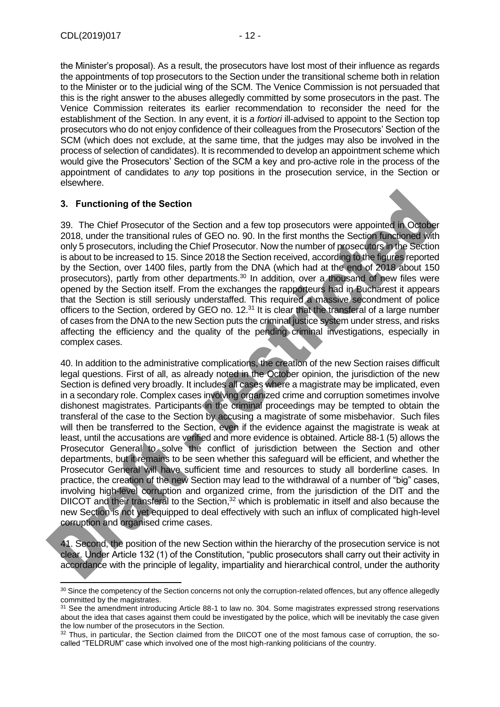-

the Minister's proposal). As a result, the prosecutors have lost most of their influence as regards the appointments of top prosecutors to the Section under the transitional scheme both in relation to the Minister or to the judicial wing of the SCM. The Venice Commission is not persuaded that this is the right answer to the abuses allegedly committed by some prosecutors in the past. The Venice Commission reiterates its earlier recommendation to reconsider the need for the establishment of the Section. In any event, it is *a fortiori* ill-advised to appoint to the Section top prosecutors who do not enjoy confidence of their colleagues from the Prosecutors' Section of the SCM (which does not exclude, at the same time, that the judges may also be involved in the process of selection of candidates). It is recommended to develop an appointment scheme which would give the Prosecutors' Section of the SCM a key and pro-active role in the process of the appointment of candidates to *any* top positions in the prosecution service, in the Section or elsewhere.

# <span id="page-11-0"></span>**3. Functioning of the Section**

39. The Chief Prosecutor of the Section and a few top prosecutors were appointed in October 2018, under the transitional rules of GEO no. 90. In the first months the Section functioned with only 5 prosecutors, including the Chief Prosecutor. Now the number of prosecutors in the Section is about to be increased to 15. Since 2018 the Section received, according to the figures reported by the Section, over 1400 files, partly from the DNA (which had at the end of 2018 about 150 prosecutors), partly from other departments. <sup>30</sup> In addition, over a thousand of new files were opened by the Section itself. From the exchanges the rapporteurs had in Bucharest it appears that the Section is still seriously understaffed. This required a massive secondment of police officers to the Section, ordered by GEO no. 12.<sup>31</sup> It is clear that the transferal of a large number of cases from the DNA to the new Section puts the criminal justice system under stress, and risks affecting the efficiency and the quality of the pending criminal investigations, especially in complex cases.

40. In addition to the administrative complications, the creation of the new Section raises difficult legal questions. First of all, as already noted in the October opinion, the jurisdiction of the new Section is defined very broadly. It includes all cases where a magistrate may be implicated, even in a secondary role. Complex cases involving organized crime and corruption sometimes involve dishonest magistrates. Participants in the criminal proceedings may be tempted to obtain the transferal of the case to the Section by accusing a magistrate of some misbehavior. Such files will then be transferred to the Section, even if the evidence against the magistrate is weak at least, until the accusations are verified and more evidence is obtained. Article 88-1 (5) allows the Prosecutor General to solve the conflict of jurisdiction between the Section and other departments, but it remains to be seen whether this safeguard will be efficient, and whether the Prosecutor General will have sufficient time and resources to study all borderline cases. In practice, the creation of the new Section may lead to the withdrawal of a number of "big" cases, involving high-level corruption and organized crime, from the jurisdiction of the DIT and the DIICOT and their transferal to the Section,<sup>32</sup> which is problematic in itself and also because the new Section is not yet equipped to deal effectively with such an influx of complicated high-level corruption and organised crime cases.

41. Second, the position of the new Section within the hierarchy of the prosecution service is not clear. Under Article 132 (1) of the Constitution, "public prosecutors shall carry out their activity in accordance with the principle of legality, impartiality and hierarchical control, under the authority

<sup>30</sup> Since the competency of the Section concerns not only the corruption-related offences, but any offence allegedly committed by the magistrates.

<sup>&</sup>lt;sup>31</sup> See the amendment introducing Article 88-1 to law no. 304. Some magistrates expressed strong reservations about the idea that cases against them could be investigated by the police, which will be inevitably the case given the low number of the prosecutors in the Section.

<sup>&</sup>lt;sup>32</sup> Thus, in particular, the Section claimed from the DIICOT one of the most famous case of corruption, the socalled "TELDRUM" case which involved one of the most high-ranking politicians of the country.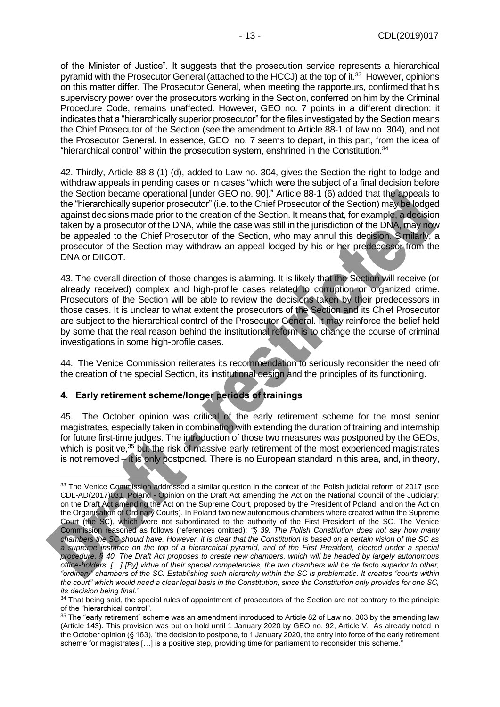of the Minister of Justice". It suggests that the prosecution service represents a hierarchical pyramid with the Prosecutor General (attached to the HCCJ) at the top of it.<sup>33</sup> However, opinions on this matter differ. The Prosecutor General, when meeting the rapporteurs, confirmed that his supervisory power over the prosecutors working in the Section, conferred on him by the Criminal Procedure Code, remains unaffected. However, GEO no. 7 points in a different direction: it indicates that a "hierarchically superior prosecutor" for the files investigated by the Section means the Chief Prosecutor of the Section (see the amendment to Article 88-1 of law no. 304), and not the Prosecutor General. In essence, GEO no. 7 seems to depart, in this part, from the idea of "hierarchical control" within the prosecution system, enshrined in the Constitution.<sup>34</sup>

42. Thirdly, Article 88-8 (1) (d), added to Law no. 304, gives the Section the right to lodge and withdraw appeals in pending cases or in cases "which were the subject of a final decision before the Section became operational [under GEO no. 90]." Article 88-1 (6) added that the appeals to the "hierarchically superior prosecutor" (i.e. to the Chief Prosecutor of the Section) may be lodged against decisions made prior to the creation of the Section. It means that, for example, a decision taken by a prosecutor of the DNA, while the case was still in the jurisdiction of the DNA, may now be appealed to the Chief Prosecutor of the Section, who may annul this decision. Similarly, a prosecutor of the Section may withdraw an appeal lodged by his or her predecessor from the DNA or DIICOT.

43. The overall direction of those changes is alarming. It is likely that the Section will receive (or already received) complex and high-profile cases related to corruption or organized crime. Prosecutors of the Section will be able to review the decisions taken by their predecessors in those cases. It is unclear to what extent the prosecutors of the Section and its Chief Prosecutor are subject to the hierarchical control of the Prosecutor General. It may reinforce the belief held by some that the real reason behind the institutional reform is to change the course of criminal investigations in some high-profile cases.

44. The Venice Commission reiterates its recommendation to seriously reconsider the need ofr the creation of the special Section, its institutional design and the principles of its functioning.

# <span id="page-12-0"></span>**4. Early retirement scheme/longer periods of trainings**

45. The October opinion was critical of the early retirement scheme for the most senior magistrates, especially taken in combination with extending the duration of training and internship for future first-time judges. The introduction of those two measures was postponed by the GEOs, which is positive,<sup>35</sup> but the risk of massive early retirement of the most experienced magistrates is not removed  $-i$  it is only postponed. There is no European standard in this area, and, in theory,

<sup>-</sup><sup>33</sup> The Venice Commission addressed a similar question in the context of the Polish judicial reform of 2017 (see CDL-AD(2017)031, Poland - Opinion on the Draft Act amending the Act on the National Council of the Judiciary; on the Draft Act amending the Act on the Supreme Court, proposed by the President of Poland, and on the Act on the Organisation of Ordinary Courts). In Poland two new autonomous chambers where created within the Supreme Court (the SC), which were not subordinated to the authority of the First President of the SC. The Venice Commission reasoned as follows (references omitted): *"§ 39. The Polish Constitution does not say how many chambers the SC should have. However, it is clear that the Constitution is based on a certain vision of the SC as a supreme instance on the top of a hierarchical pyramid, and of the First President, elected under a special procedure. § 40. The Draft Act proposes to create new chambers, which will be headed by largely autonomous office-holders. […] [By] virtue of their special competencies, the two chambers will be de facto superior to other, "ordinary" chambers of the SC. Establishing such hierarchy within the SC is problematic. It creates "courts within the court" which would need a clear legal basis in the Constitution, since the Constitution only provides for one SC, its decision being final."*

<sup>&</sup>lt;sup>34</sup> That being said, the special rules of appointment of prosecutors of the Section are not contrary to the principle of the "hierarchical control".

<sup>&</sup>lt;sup>35</sup> The "early retirement" scheme was an amendment introduced to Article 82 of Law no. 303 by the amending law (Article 143). This provision was put on hold until 1 January 2020 by GEO no. 92, Article V. As already noted in the October opinion (§ 163), "the decision to postpone, to 1 January 2020, the entry into force of the early retirement scheme for magistrates [...] is a positive step, providing time for parliament to reconsider this scheme."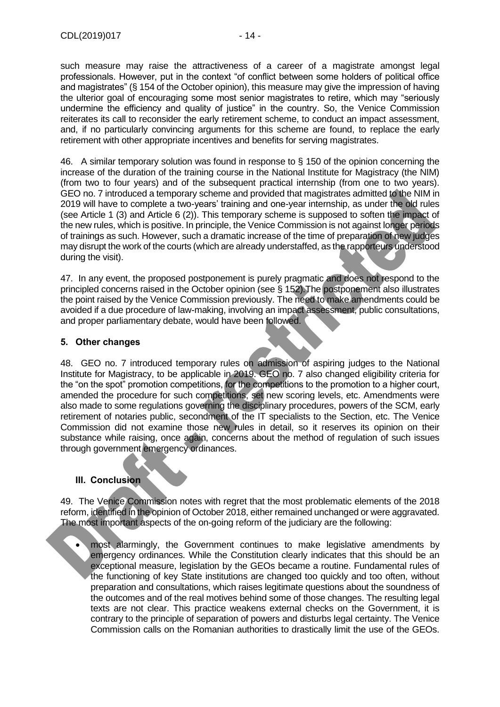such measure may raise the attractiveness of a career of a magistrate amongst legal professionals. However, put in the context "of conflict between some holders of political office and magistrates" (§ 154 of the October opinion), this measure may give the impression of having the ulterior goal of encouraging some most senior magistrates to retire, which may "seriously undermine the efficiency and quality of justice" in the country. So, the Venice Commission reiterates its call to reconsider the early retirement scheme, to conduct an impact assessment, and, if no particularly convincing arguments for this scheme are found, to replace the early retirement with other appropriate incentives and benefits for serving magistrates.

46. A similar temporary solution was found in response to § 150 of the opinion concerning the increase of the duration of the training course in the National Institute for Magistracy (the NIM) (from two to four years) and of the subsequent practical internship (from one to two years). GEO no. 7 introduced a temporary scheme and provided that magistrates admitted to the NIM in 2019 will have to complete a two-years' training and one-year internship, as under the old rules (see Article 1 (3) and Article 6 (2)). This temporary scheme is supposed to soften the impact of the new rules, which is positive. In principle, the Venice Commission is not against longer periods of trainings as such. However, such a dramatic increase of the time of preparation of new judges may disrupt the work of the courts (which are already understaffed, as the rapporteurs understood during the visit).

47. In any event, the proposed postponement is purely pragmatic and does not respond to the principled concerns raised in the October opinion (see § 152).The postponement also illustrates the point raised by the Venice Commission previously. The need to make amendments could be avoided if a due procedure of law-making, involving an impact assessment, public consultations, and proper parliamentary debate, would have been followed.

#### <span id="page-13-0"></span>**5. Other changes**

48. GEO no. 7 introduced temporary rules on admission of aspiring judges to the National Institute for Magistracy, to be applicable in 2019. GEO no. 7 also changed eligibility criteria for the "on the spot" promotion competitions, for the competitions to the promotion to a higher court, amended the procedure for such competitions, set new scoring levels, etc. Amendments were also made to some regulations governing the disciplinary procedures, powers of the SCM, early retirement of notaries public, secondment of the IT specialists to the Section, etc. The Venice Commission did not examine those new rules in detail, so it reserves its opinion on their substance while raising, once again, concerns about the method of regulation of such issues through government emergency ordinances.

# <span id="page-13-1"></span>**III. Conclusion**

49. The Venice Commission notes with regret that the most problematic elements of the 2018 reform, identified in the opinion of October 2018, either remained unchanged or were aggravated. The most important aspects of the on-going reform of the judiciary are the following:

most alarmingly, the Government continues to make legislative amendments by emergency ordinances. While the Constitution clearly indicates that this should be an exceptional measure, legislation by the GEOs became a routine. Fundamental rules of the functioning of key State institutions are changed too quickly and too often, without preparation and consultations, which raises legitimate questions about the soundness of the outcomes and of the real motives behind some of those changes. The resulting legal texts are not clear. This practice weakens external checks on the Government, it is contrary to the principle of separation of powers and disturbs legal certainty. The Venice Commission calls on the Romanian authorities to drastically limit the use of the GEOs.